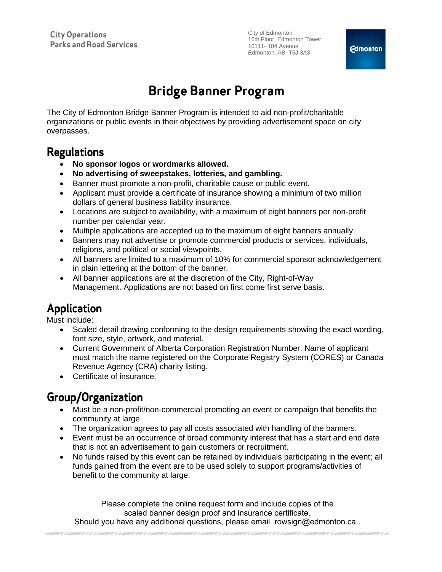# **Bridge Banner Program**

The City of Edmonton Bridge Banner Program is intended to aid non-profit/charitable organizations or public events in their objectives by providing advertisement space on city overpasses.

## **Regulations**

- **No sponsor logos or wordmarks allowed.**
- **No advertising of sweepstakes, lotteries, and gambling.**
- Banner must promote a non-profit, charitable cause or public event.
- Applicant must provide a certificate of insurance showing a minimum of two million dollars of general business liability insurance.
- Locations are subject to availability, with a maximum of eight banners per non-profit number per calendar year.
- Multiple applications are accepted up to the maximum of eight banners annually.
- Banners may not advertise or promote commercial products or services, individuals, religions, and political or social viewpoints.
- All banners are limited to a maximum of 10% for commercial sponsor acknowledgement in plain lettering at the bottom of the banner.
- All banner applications are at the discretion of the City, Right-of-Way Management. Applications are not based on first come first serve basis.

# **Application**

Must include:

- Scaled detail drawing conforming to the design requirements showing the exact wording, font size, style, artwork, and material.
- Current Government of Alberta Corporation Registration Number. Name of applicant must match the name registered on the Corporate Registry System (CORES) or Canada Revenue Agency (CRA) charity listing.
- Certificate of insurance.

# **Group/Organization**

- Must be a non-profit/non-commercial promoting an event or campaign that benefits the community at large.
- The organization agrees to pay all costs associated with handling of the banners.
- Event must be an occurrence of broad community interest that has a start and end date that is not an advertisement to gain customers or recruitment.
- No funds raised by this event can be retained by individuals participating in the event; all funds gained from the event are to be used solely to support programs/activities of benefit to the community at large.

Please complete the online request form and include copies of the scaled banner design proof and insurance certificate.

Should you have any additional questions, please email rowsign@edmonton.ca .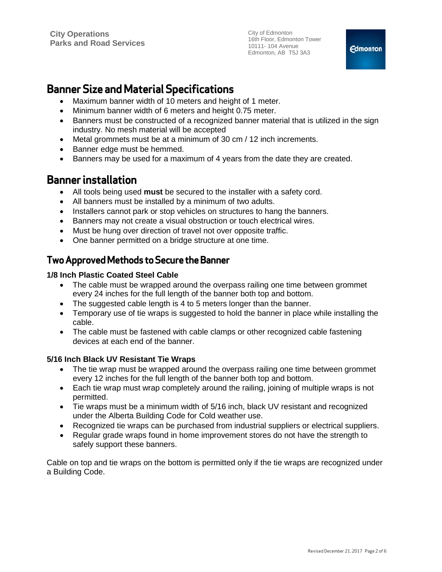## **Banner Size and Material Specifications**

- Maximum banner width of 10 meters and height of 1 meter.
- Minimum banner width of 6 meters and height 0.75 meter.
- Banners must be constructed of a recognized banner material that is utilized in the sign industry. No mesh material will be accepted
- Metal grommets must be at a minimum of 30 cm / 12 inch increments.
- Banner edge must be hemmed.
- Banners may be used for a maximum of 4 years from the date they are created.

### **Banner installation**

- All tools being used **must** be secured to the installer with a safety cord.
- All banners must be installed by a minimum of two adults.
- Installers cannot park or stop vehicles on structures to hang the banners.
- Banners may not create a visual obstruction or touch electrical wires.
- Must be hung over direction of travel not over opposite traffic.
- One banner permitted on a bridge structure at one time.

### **Two Approved Methods to Secure the Banner**

#### **1/8 Inch Plastic Coated Steel Cable**

- The cable must be wrapped around the overpass railing one time between grommet every 24 inches for the full length of the banner both top and bottom.
- The suggested cable length is 4 to 5 meters longer than the banner.
- Temporary use of tie wraps is suggested to hold the banner in place while installing the cable.
- The cable must be fastened with cable clamps or other recognized cable fastening devices at each end of the banner.

#### **5/16 Inch Black UV Resistant Tie Wraps**

- The tie wrap must be wrapped around the overpass railing one time between grommet every 12 inches for the full length of the banner both top and bottom.
- Each tie wrap must wrap completely around the railing, joining of multiple wraps is not permitted.
- Tie wraps must be a minimum width of 5/16 inch, black UV resistant and recognized under the Alberta Building Code for Cold weather use.
- Recognized tie wraps can be purchased from industrial suppliers or electrical suppliers.
- Regular grade wraps found in home improvement stores do not have the strength to safely support these banners.

Cable on top and tie wraps on the bottom is permitted only if the tie wraps are recognized under a Building Code.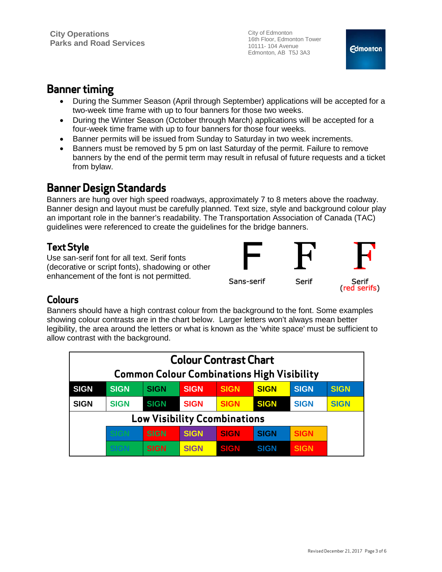## **Banner timing**

- During the Summer Season (April through September) applications will be accepted for a two-week time frame with up to four banners for those two weeks.
- During the Winter Season (October through March) applications will be accepted for a four-week time frame with up to four banners for those four weeks.
- Banner permits will be issued from Sunday to Saturday in two week increments.
- Banners must be removed by 5 pm on last Saturday of the permit. Failure to remove banners by the end of the permit term may result in refusal of future requests and a ticket from bylaw.

# **Banner Design Standards**

Banners are hung over high speed roadways, approximately 7 to 8 meters above the roadway. Banner design and layout must be carefully planned. Text size, style and background colour play an important role in the banner's readability. The Transportation Association of Canada (TAC) guidelines were referenced to create the guidelines for the bridge banners.

### **Text Style**

Use san-serif font for all text. Serif fonts (decorative or script fonts), shadowing or other enhancement of the font is not permitted.



### **Colours**

Banners should have a high contrast colour from the background to the font. Some examples showing colour contrasts are in the chart below. Larger letters won't always mean better legibility, the area around the letters or what is known as the 'white space' must be sufficient to allow contrast with the background.

| <b>Colour Contrast Chart</b><br><b>Common Colour Combinations High Visibility</b> |             |             |             |             |             |             |             |
|-----------------------------------------------------------------------------------|-------------|-------------|-------------|-------------|-------------|-------------|-------------|
|                                                                                   |             |             |             |             |             |             |             |
| <b>SIGN</b>                                                                       | <b>SIGN</b> | <b>SIGN</b> | <b>SIGN</b> | <b>SIGN</b> | <b>SIGN</b> | <b>SIGN</b> | <b>SIGN</b> |
| <b>SIGN</b>                                                                       | <b>SIGN</b> | <b>SIGN</b> | <b>SIGN</b> | <b>SIGN</b> | <b>SIGN</b> | <b>SIGN</b> | <b>SIGN</b> |
| <b>Low Visibility Ccombinations</b>                                               |             |             |             |             |             |             |             |
|                                                                                   |             | <b>SIGN</b> | <b>SIGN</b> | <b>SIGN</b> | <b>SIGN</b> | <b>SIGN</b> |             |
|                                                                                   |             | <b>SIGN</b> | <b>SIGN</b> | SIGN        | <b>SIGN</b> | <b>SIGN</b> |             |